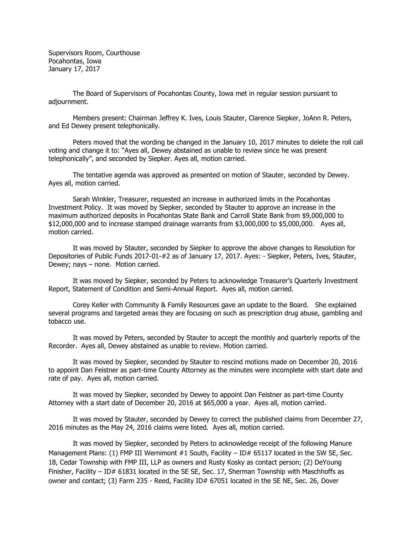Supervisors Room, Courthouse Pocahontas, Iowa January 17, 2017

The Board of Supervisors of Pocahontas County, Iowa met in regular session pursuant to adjournment.

Members present: Chairman Jeffrey K. Ives, Louis Stauter, Clarence Siepker, JoAnn R. Peters, and Ed Dewey present telephonically.

Peters moved that the wording be changed in the January 10, 2017 minutes to delete the roll call voting and change it to: "Ayes all, Dewey abstained as unable to review since he was present telephonically", and seconded by Siepker. Ayes all, motion carried.

The tentative agenda was approved as presented on motion of Stauter, seconded by Dewey. Ayes all, motion carried.

Sarah Winkler, Treasurer, requested an increase in authorized limits in the Pocahontas Investment Policy. It was moved by Siepker, seconded by Stauter to approve an increase in the maximum authorized deposits in Pocahontas State Bank and Carroll State Bank from \$9,000,000 to \$12,000,000 and to increase stamped drainage warrants from \$3,000,000 to \$5,000,000. Ayes all, motion carried.

It was moved by Stauter, seconded by Siepker to approve the above changes to Resolution for Depositories of Public Funds 2017-01-#2 as of January 17, 2017. Ayes: - Siepker, Peters, Ives, Stauter, Dewey; nays – none. Motion carried.

It was moved by Siepker, seconded by Peters to acknowledge Treasurer's Quarterly Investment Report, Statement of Condition and Semi-Annual Report. Ayes all, motion carried.

Corey Keller with Community & Family Resources gave an update to the Board. She explained several programs and targeted areas they are focusing on such as prescription drug abuse, gambling and tobacco use.

It was moved by Peters, seconded by Stauter to accept the monthly and quarterly reports of the Recorder. Ayes all, Dewey abstained as unable to review. Motion carried.

It was moved by Siepker, seconded by Stauter to rescind motions made on December 20, 2016 to appoint Dan Feistner as part-time County Attorney as the minutes were incomplete with start date and rate of pay. Ayes all, motion carried.

It was moved by Siepker, seconded by Dewey to appoint Dan Feistner as part-time County Attorney with a start date of December 20, 2016 at \$65,000 a year. Ayes all, motion carried.

It was moved by Stauter, seconded by Dewey to correct the published claims from December 27, 2016 minutes as the May 24, 2016 claims were listed. Ayes all, motion carried.

It was moved by Siepker, seconded by Peters to acknowledge receipt of the following Manure Management Plans: (1) FMP III Wernimont #1 South, Facility - ID# 65117 located in the SW SE, Sec. 18, Cedar Township with FMP III, LLP as owners and Rusty Kosky as contact person; (2) DeYoung Finisher, Facility – ID# 61831 located in the SE SE, Sec. 17, Sherman Township with Maschhoffs as owner and contact; (3) Farm 235 - Reed, Facility ID# 67051 located in the SE NE, Sec. 26, Dover